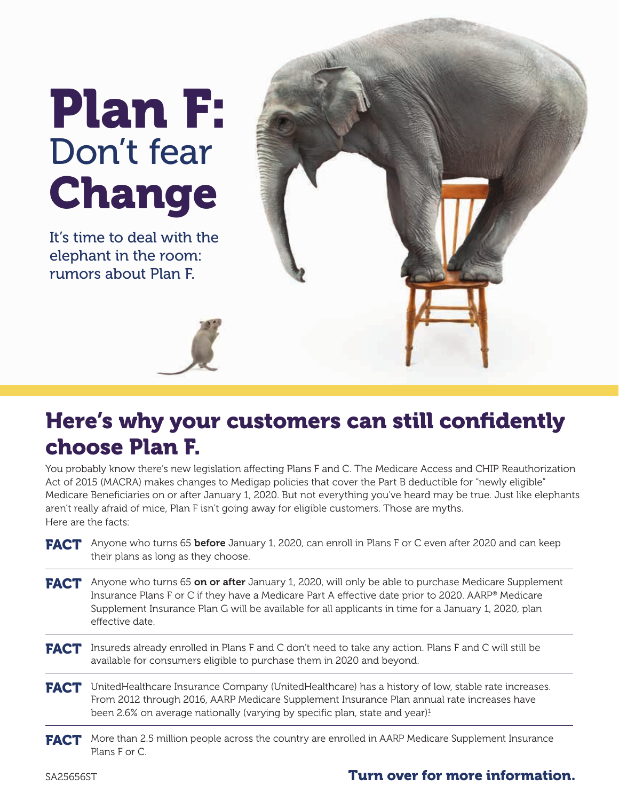# Plan F: Don't fear Change

It's time to deal with the elephant in the room: rumors about Plan F.



### Here's why your customers can still confidently choose Plan F.

You probably know there's new legislation affecting Plans F and C. The Medicare Access and CHIP Reauthorization Act of 2015 (MACRA) makes changes to Medigap policies that cover the Part B deductible for "newly eligible" Medicare Beneficiaries on or after January 1, 2020. But not everything you've heard may be true. Just like elephants aren't really afraid of mice, Plan F isn't going away for eligible customers. Those are myths. Here are the facts:

- FACT Anyone who turns 65 before January 1, 2020, can enroll in Plans F or C even after 2020 and can keep their plans as long as they choose.
- FACT Anyone who turns 65 on or after January 1, 2020, will only be able to purchase Medicare Supplement Insurance Plans F or C if they have a Medicare Part A effective date prior to 2020. AARP® Medicare Supplement Insurance Plan G will be available for all applicants in time for a January 1, 2020, plan effective date.
- FACT Insureds already enrolled in Plans F and C don't need to take any action. Plans F and C will still be available for consumers eligible to purchase them in 2020 and beyond.
- FACT UnitedHealthcare Insurance Company (UnitedHealthcare) has a history of low, stable rate increases. From 2012 through 2016, AARP Medicare Supplement Insurance Plan annual rate increases have been 2.6% on average nationally (varying by specific plan, state and year)!
- FACT More than 2.5 million people across the country are enrolled in AARP Medicare Supplement Insurance Plans F or C.

### SA25656ST **Turn over for more information.**